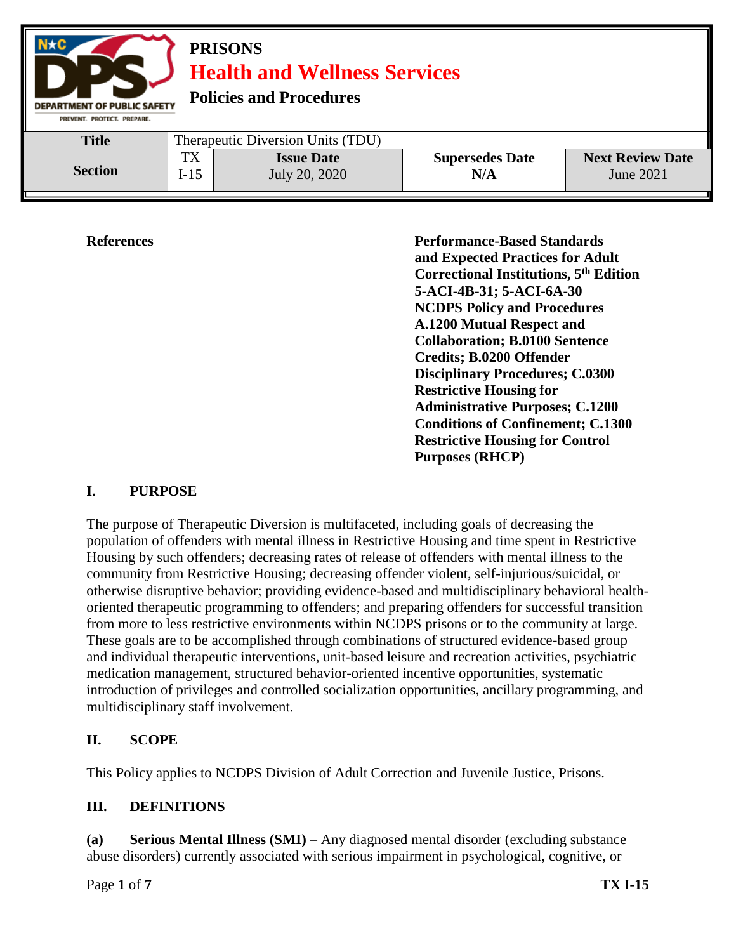

**References Performance-Based Standards and Expected Practices for Adult Correctional Institutions, 5th Edition 5-ACI-4B-31; 5-ACI-6A-30 NCDPS Policy and Procedures A.1200 Mutual Respect and Collaboration; B.0100 Sentence Credits; B.0200 Offender Disciplinary Procedures; C.0300 Restrictive Housing for Administrative Purposes; C.1200 Conditions of Confinement; C.1300 Restrictive Housing for Control Purposes (RHCP)**

# **I. PURPOSE**

The purpose of Therapeutic Diversion is multifaceted, including goals of decreasing the population of offenders with mental illness in Restrictive Housing and time spent in Restrictive Housing by such offenders; decreasing rates of release of offenders with mental illness to the community from Restrictive Housing; decreasing offender violent, self-injurious/suicidal, or otherwise disruptive behavior; providing evidence-based and multidisciplinary behavioral healthoriented therapeutic programming to offenders; and preparing offenders for successful transition from more to less restrictive environments within NCDPS prisons or to the community at large. These goals are to be accomplished through combinations of structured evidence-based group and individual therapeutic interventions, unit-based leisure and recreation activities, psychiatric medication management, structured behavior-oriented incentive opportunities, systematic introduction of privileges and controlled socialization opportunities, ancillary programming, and multidisciplinary staff involvement.

# **II. SCOPE**

This Policy applies to NCDPS Division of Adult Correction and Juvenile Justice, Prisons.

# **III. DEFINITIONS**

**(a) Serious Mental Illness (SMI)** – Any diagnosed mental disorder (excluding substance abuse disorders) currently associated with serious impairment in psychological, cognitive, or

Page **1** of **7 TX I-15**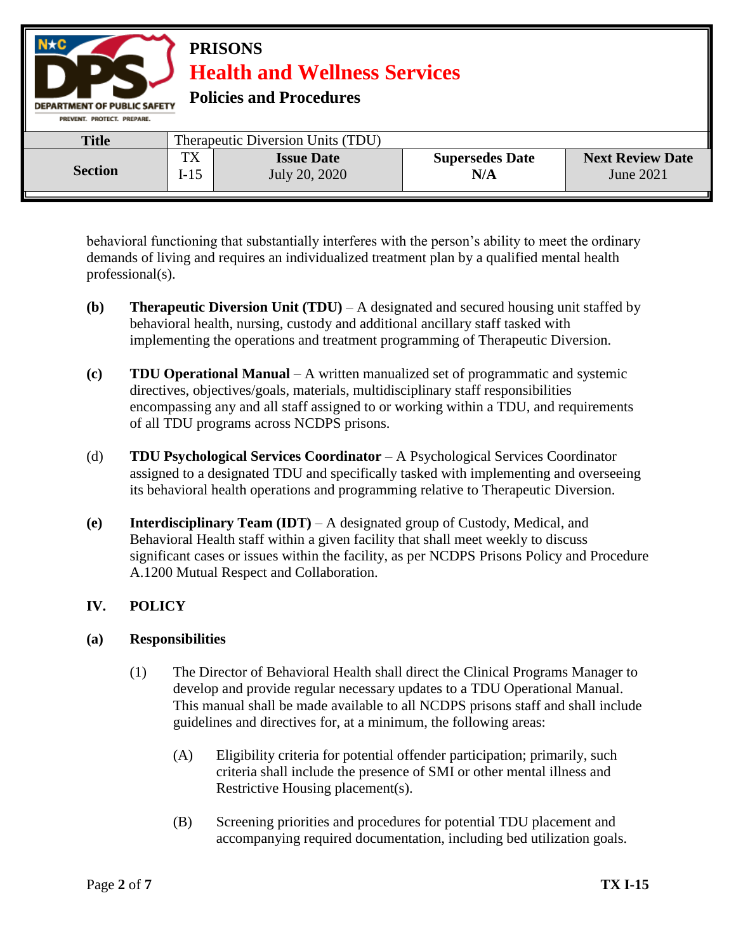

behavioral functioning that substantially interferes with the person's ability to meet the ordinary demands of living and requires an individualized treatment plan by a qualified mental health professional(s).

- **(b) Therapeutic Diversion Unit (TDU)** A designated and secured housing unit staffed by behavioral health, nursing, custody and additional ancillary staff tasked with implementing the operations and treatment programming of Therapeutic Diversion.
- **(c) TDU Operational Manual** A written manualized set of programmatic and systemic directives, objectives/goals, materials, multidisciplinary staff responsibilities encompassing any and all staff assigned to or working within a TDU, and requirements of all TDU programs across NCDPS prisons.
- (d) **TDU Psychological Services Coordinator** A Psychological Services Coordinator assigned to a designated TDU and specifically tasked with implementing and overseeing its behavioral health operations and programming relative to Therapeutic Diversion.
- **(e) Interdisciplinary Team (IDT)** A designated group of Custody, Medical, and Behavioral Health staff within a given facility that shall meet weekly to discuss significant cases or issues within the facility, as per NCDPS Prisons Policy and Procedure A.1200 Mutual Respect and Collaboration.

# **IV. POLICY**

# **(a) Responsibilities**

- (1) The Director of Behavioral Health shall direct the Clinical Programs Manager to develop and provide regular necessary updates to a TDU Operational Manual. This manual shall be made available to all NCDPS prisons staff and shall include guidelines and directives for, at a minimum, the following areas:
	- (A) Eligibility criteria for potential offender participation; primarily, such criteria shall include the presence of SMI or other mental illness and Restrictive Housing placement(s).
	- (B) Screening priorities and procedures for potential TDU placement and accompanying required documentation, including bed utilization goals.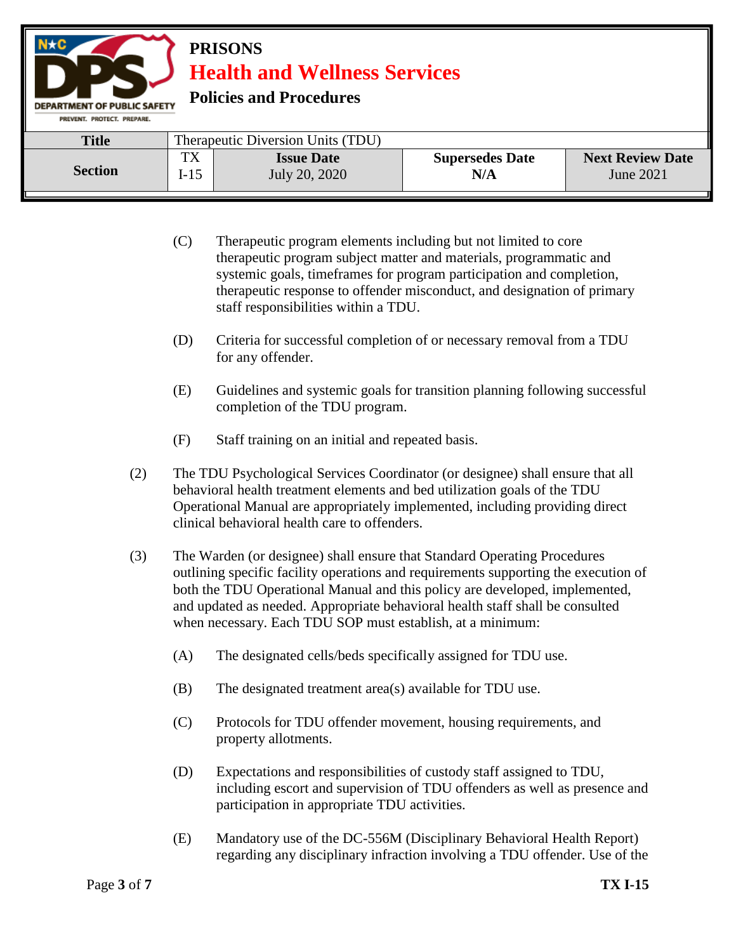

- (C) Therapeutic program elements including but not limited to core therapeutic program subject matter and materials, programmatic and systemic goals, timeframes for program participation and completion, therapeutic response to offender misconduct, and designation of primary staff responsibilities within a TDU.
- (D) Criteria for successful completion of or necessary removal from a TDU for any offender.
- (E) Guidelines and systemic goals for transition planning following successful completion of the TDU program.
- (F) Staff training on an initial and repeated basis.
- (2) The TDU Psychological Services Coordinator (or designee) shall ensure that all behavioral health treatment elements and bed utilization goals of the TDU Operational Manual are appropriately implemented, including providing direct clinical behavioral health care to offenders.
- (3) The Warden (or designee) shall ensure that Standard Operating Procedures outlining specific facility operations and requirements supporting the execution of both the TDU Operational Manual and this policy are developed, implemented, and updated as needed. Appropriate behavioral health staff shall be consulted when necessary. Each TDU SOP must establish, at a minimum:
	- (A) The designated cells/beds specifically assigned for TDU use.
	- (B) The designated treatment area(s) available for TDU use.
	- (C) Protocols for TDU offender movement, housing requirements, and property allotments.
	- (D) Expectations and responsibilities of custody staff assigned to TDU, including escort and supervision of TDU offenders as well as presence and participation in appropriate TDU activities.
	- (E) Mandatory use of the DC-556M (Disciplinary Behavioral Health Report) regarding any disciplinary infraction involving a TDU offender. Use of the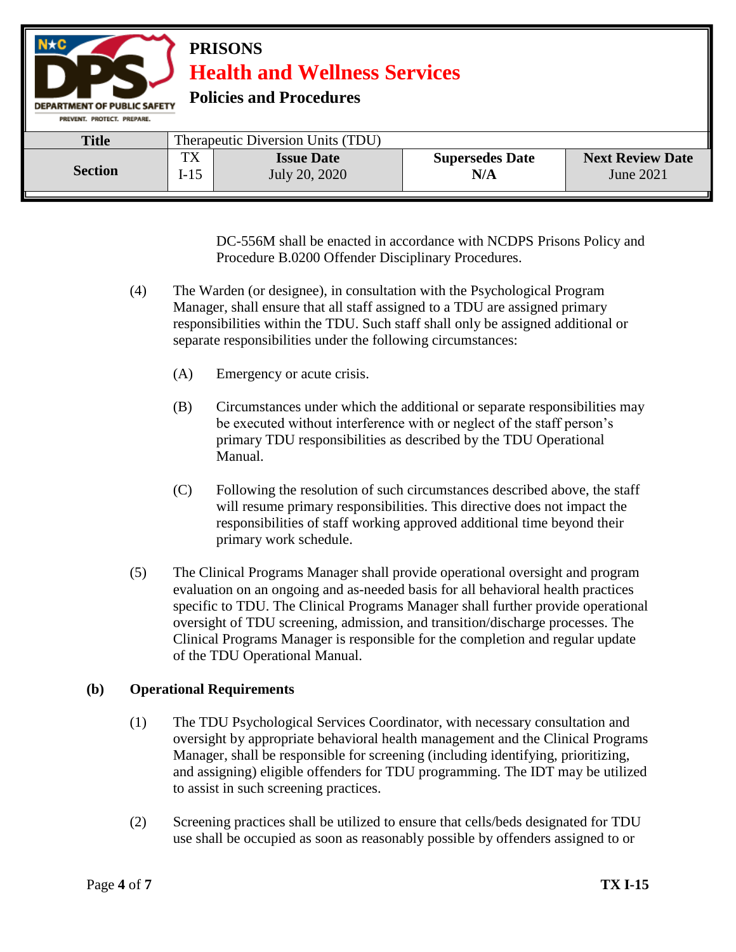| $N \star C$<br><b>PRISONS</b><br><b>Health and Wellness Services</b><br><b>Policies and Procedures</b><br><b>DEPARTMENT OF PUBLIC SAFETY</b><br>PREVENT, PROTECT, PREPARE. |                                   |                                    |                               |                                      |  |  |
|----------------------------------------------------------------------------------------------------------------------------------------------------------------------------|-----------------------------------|------------------------------------|-------------------------------|--------------------------------------|--|--|
| <b>Title</b>                                                                                                                                                               | Therapeutic Diversion Units (TDU) |                                    |                               |                                      |  |  |
| <b>Section</b>                                                                                                                                                             | <b>TX</b><br>$I-15$               | <b>Issue Date</b><br>July 20, 2020 | <b>Supersedes Date</b><br>N/A | <b>Next Review Date</b><br>June 2021 |  |  |

DC-556M shall be enacted in accordance with NCDPS Prisons Policy and Procedure B.0200 Offender Disciplinary Procedures.

- (4) The Warden (or designee), in consultation with the Psychological Program Manager, shall ensure that all staff assigned to a TDU are assigned primary responsibilities within the TDU. Such staff shall only be assigned additional or separate responsibilities under the following circumstances:
	- (A) Emergency or acute crisis.
	- (B) Circumstances under which the additional or separate responsibilities may be executed without interference with or neglect of the staff person's primary TDU responsibilities as described by the TDU Operational Manual.
	- (C) Following the resolution of such circumstances described above, the staff will resume primary responsibilities. This directive does not impact the responsibilities of staff working approved additional time beyond their primary work schedule.
- (5) The Clinical Programs Manager shall provide operational oversight and program evaluation on an ongoing and as-needed basis for all behavioral health practices specific to TDU. The Clinical Programs Manager shall further provide operational oversight of TDU screening, admission, and transition/discharge processes. The Clinical Programs Manager is responsible for the completion and regular update of the TDU Operational Manual.

# **(b) Operational Requirements**

- (1) The TDU Psychological Services Coordinator, with necessary consultation and oversight by appropriate behavioral health management and the Clinical Programs Manager, shall be responsible for screening (including identifying, prioritizing, and assigning) eligible offenders for TDU programming. The IDT may be utilized to assist in such screening practices.
- (2) Screening practices shall be utilized to ensure that cells/beds designated for TDU use shall be occupied as soon as reasonably possible by offenders assigned to or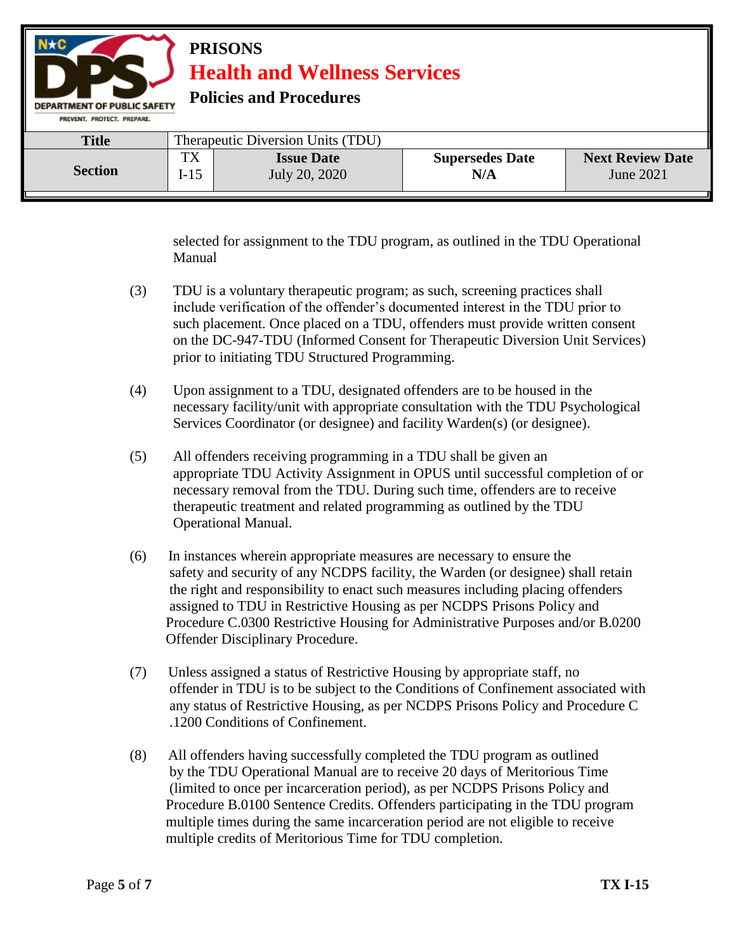

selected for assignment to the TDU program, as outlined in the TDU Operational Manual

- (3) TDU is a voluntary therapeutic program; as such, screening practices shall include verification of the offender's documented interest in the TDU prior to such placement. Once placed on a TDU, offenders must provide written consent on the DC-947-TDU (Informed Consent for Therapeutic Diversion Unit Services) prior to initiating TDU Structured Programming.
- (4) Upon assignment to a TDU, designated offenders are to be housed in the necessary facility/unit with appropriate consultation with the TDU Psychological Services Coordinator (or designee) and facility Warden(s) (or designee).
- (5) All offenders receiving programming in a TDU shall be given an appropriate TDU Activity Assignment in OPUS until successful completion of or necessary removal from the TDU. During such time, offenders are to receive therapeutic treatment and related programming as outlined by the TDU Operational Manual.
- (6) In instances wherein appropriate measures are necessary to ensure the safety and security of any NCDPS facility, the Warden (or designee) shall retain the right and responsibility to enact such measures including placing offenders assigned to TDU in Restrictive Housing as per NCDPS Prisons Policy and Procedure C.0300 Restrictive Housing for Administrative Purposes and/or B.0200 Offender Disciplinary Procedure.
- (7) Unless assigned a status of Restrictive Housing by appropriate staff, no offender in TDU is to be subject to the Conditions of Confinement associated with any status of Restrictive Housing, as per NCDPS Prisons Policy and Procedure C .1200 Conditions of Confinement.
- (8) All offenders having successfully completed the TDU program as outlined by the TDU Operational Manual are to receive 20 days of Meritorious Time (limited to once per incarceration period), as per NCDPS Prisons Policy and Procedure B.0100 Sentence Credits. Offenders participating in the TDU program multiple times during the same incarceration period are not eligible to receive multiple credits of Meritorious Time for TDU completion.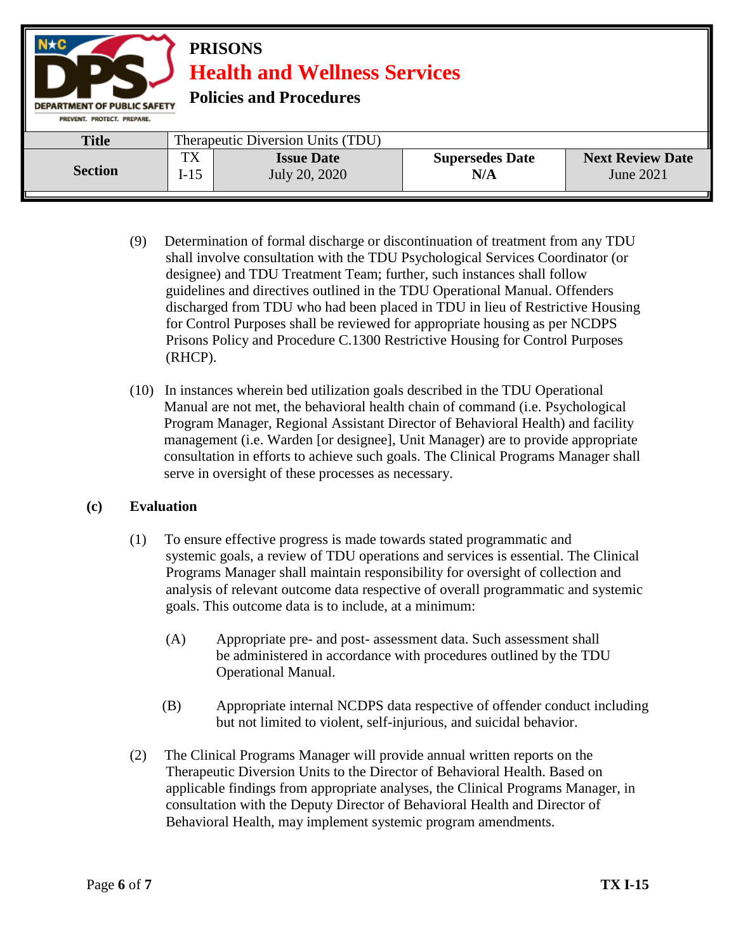

- (9) Determination of formal discharge or discontinuation of treatment from any TDU shall involve consultation with the TDU Psychological Services Coordinator (or designee) and TDU Treatment Team; further, such instances shall follow guidelines and directives outlined in the TDU Operational Manual. Offenders discharged from TDU who had been placed in TDU in lieu of Restrictive Housing for Control Purposes shall be reviewed for appropriate housing as per NCDPS Prisons Policy and Procedure C.1300 Restrictive Housing for Control Purposes (RHCP).
- (10) In instances wherein bed utilization goals described in the TDU Operational Manual are not met, the behavioral health chain of command (i.e. Psychological Program Manager, Regional Assistant Director of Behavioral Health) and facility management (i.e. Warden [or designee], Unit Manager) are to provide appropriate consultation in efforts to achieve such goals. The Clinical Programs Manager shall serve in oversight of these processes as necessary.

### **(c) Evaluation**

- (1) To ensure effective progress is made towards stated programmatic and systemic goals, a review of TDU operations and services is essential. The Clinical Programs Manager shall maintain responsibility for oversight of collection and analysis of relevant outcome data respective of overall programmatic and systemic goals. This outcome data is to include, at a minimum:
	- (A) Appropriate pre- and post- assessment data. Such assessment shall be administered in accordance with procedures outlined by the TDU Operational Manual.
	- (B) Appropriate internal NCDPS data respective of offender conduct including but not limited to violent, self-injurious, and suicidal behavior.
- (2) The Clinical Programs Manager will provide annual written reports on the Therapeutic Diversion Units to the Director of Behavioral Health. Based on applicable findings from appropriate analyses, the Clinical Programs Manager, in consultation with the Deputy Director of Behavioral Health and Director of Behavioral Health, may implement systemic program amendments.